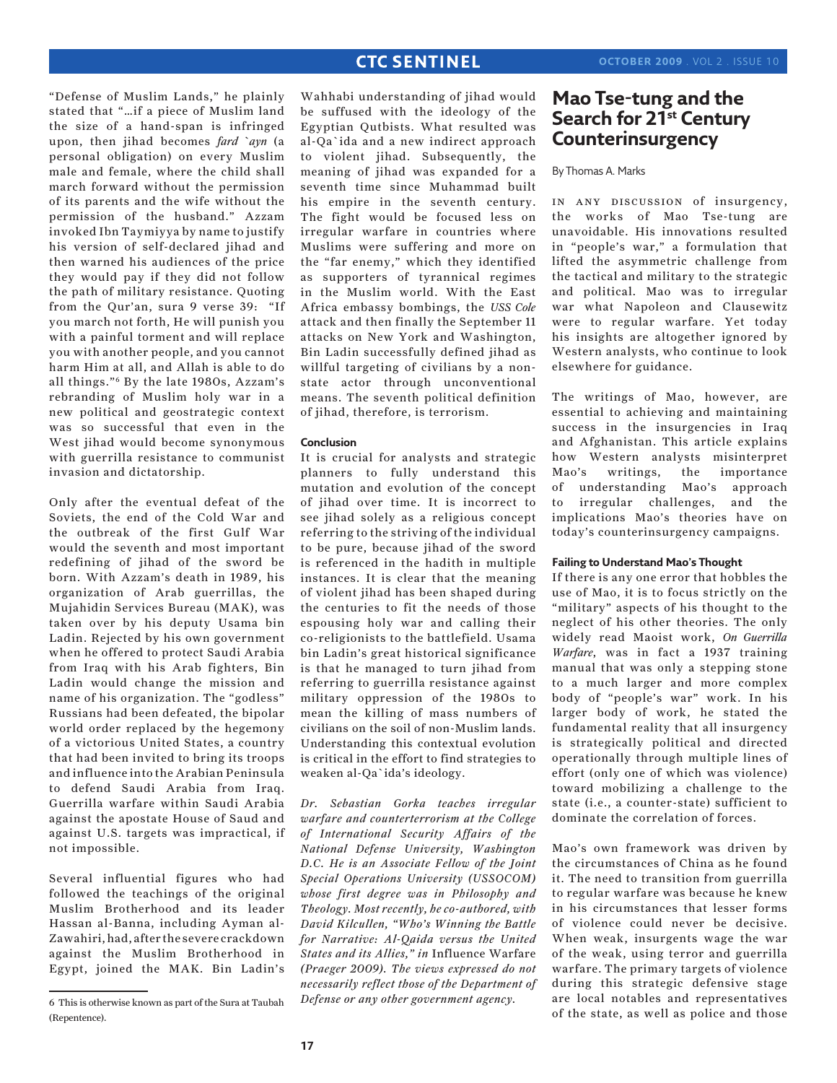"Defense of Muslim Lands," he plainly stated that "…if a piece of Muslim land the size of a hand-span is infringed upon, then jihad becomes *fard `ayn* (a personal obligation) on every Muslim male and female, where the child shall march forward without the permission of its parents and the wife without the permission of the husband." Azzam invoked Ibn Taymiyya by name to justify his version of self-declared jihad and then warned his audiences of the price they would pay if they did not follow the path of military resistance. Quoting from the Qur'an, sura 9 verse 39: "If you march not forth, He will punish you with a painful torment and will replace you with another people, and you cannot harm Him at all, and Allah is able to do all things."6 By the late 1980s, Azzam's rebranding of Muslim holy war in a new political and geostrategic context was so successful that even in the West jihad would become synonymous with guerrilla resistance to communist invasion and dictatorship.

Only after the eventual defeat of the Soviets, the end of the Cold War and the outbreak of the first Gulf War would the seventh and most important redefining of jihad of the sword be born. With Azzam's death in 1989, his organization of Arab guerrillas, the Mujahidin Services Bureau (MAK), was taken over by his deputy Usama bin Ladin. Rejected by his own government when he offered to protect Saudi Arabia from Iraq with his Arab fighters, Bin Ladin would change the mission and name of his organization. The "godless" Russians had been defeated, the bipolar world order replaced by the hegemony of a victorious United States, a country that had been invited to bring its troops and influence into the Arabian Peninsula to defend Saudi Arabia from Iraq. Guerrilla warfare within Saudi Arabia against the apostate House of Saud and against U.S. targets was impractical, if not impossible.

Several influential figures who had followed the teachings of the original Muslim Brotherhood and its leader Hassan al-Banna, including Ayman al-Zawahiri, had, after the severe crackdown against the Muslim Brotherhood in Egypt, joined the MAK. Bin Ladin's

Wahhabi understanding of jihad would be suffused with the ideology of the Egyptian Qutbists. What resulted was al-Qa`ida and a new indirect approach to violent jihad. Subsequently, the meaning of jihad was expanded for a seventh time since Muhammad built his empire in the seventh century. The fight would be focused less on irregular warfare in countries where Muslims were suffering and more on the "far enemy," which they identified as supporters of tyrannical regimes in the Muslim world. With the East Africa embassy bombings, the *USS Cole*  attack and then finally the September 11 attacks on New York and Washington, Bin Ladin successfully defined jihad as willful targeting of civilians by a nonstate actor through unconventional means. The seventh political definition of jihad, therefore, is terrorism.

### **Conclusion**

It is crucial for analysts and strategic planners to fully understand this mutation and evolution of the concept of jihad over time. It is incorrect to see jihad solely as a religious concept referring to the striving of the individual to be pure, because jihad of the sword is referenced in the hadith in multiple instances. It is clear that the meaning of violent jihad has been shaped during the centuries to fit the needs of those espousing holy war and calling their co-religionists to the battlefield. Usama bin Ladin's great historical significance is that he managed to turn jihad from referring to guerrilla resistance against military oppression of the 1980s to mean the killing of mass numbers of civilians on the soil of non-Muslim lands. Understanding this contextual evolution is critical in the effort to find strategies to weaken al-Qa`ida's ideology.

*Dr. Sebastian Gorka teaches irregular warfare and counterterrorism at the College of International Security Affairs of the National Defense University, Washington D.C. He is an Associate Fellow of the Joint Special Operations University (USSOCOM) whose first degree was in Philosophy and Theology. Most recently, he co-authored, with David Kilcullen, "Who's Winning the Battle for Narrative: Al-Qaida versus the United States and its Allies," in* Influence Warfare *(Praeger 2009). The views expressed do not necessarily reflect those of the Department of Defense or any other government agency.* 

# **Mao Tse-tung and the Search for 21st Century Counterinsurgency**

### By Thomas A. Marks

in any discussion of insurgency, the works of Mao Tse-tung are unavoidable. His innovations resulted in "people's war," a formulation that lifted the asymmetric challenge from the tactical and military to the strategic and political. Mao was to irregular war what Napoleon and Clausewitz were to regular warfare. Yet today his insights are altogether ignored by Western analysts, who continue to look elsewhere for guidance.

The writings of Mao, however, are essential to achieving and maintaining success in the insurgencies in Iraq and Afghanistan. This article explains how Western analysts misinterpret Mao's writings, the importance of understanding Mao's approach to irregular challenges, and the implications Mao's theories have on today's counterinsurgency campaigns.

#### **Failing to Understand Mao's Thought**

If there is any one error that hobbles the use of Mao, it is to focus strictly on the "military" aspects of his thought to the neglect of his other theories. The only widely read Maoist work, *On Guerrilla Warfare*, was in fact a 1937 training manual that was only a stepping stone to a much larger and more complex body of "people's war" work. In his larger body of work, he stated the fundamental reality that all insurgency is strategically political and directed operationally through multiple lines of effort (only one of which was violence) toward mobilizing a challenge to the state (i.e., a counter-state) sufficient to dominate the correlation of forces.

Mao's own framework was driven by the circumstances of China as he found it. The need to transition from guerrilla to regular warfare was because he knew in his circumstances that lesser forms of violence could never be decisive. When weak, insurgents wage the war of the weak, using terror and guerrilla warfare. The primary targets of violence during this strategic defensive stage are local notables and representatives of the state, as well as police and those

<sup>6</sup> This is otherwise known as part of the Sura at Taubah (Repentence).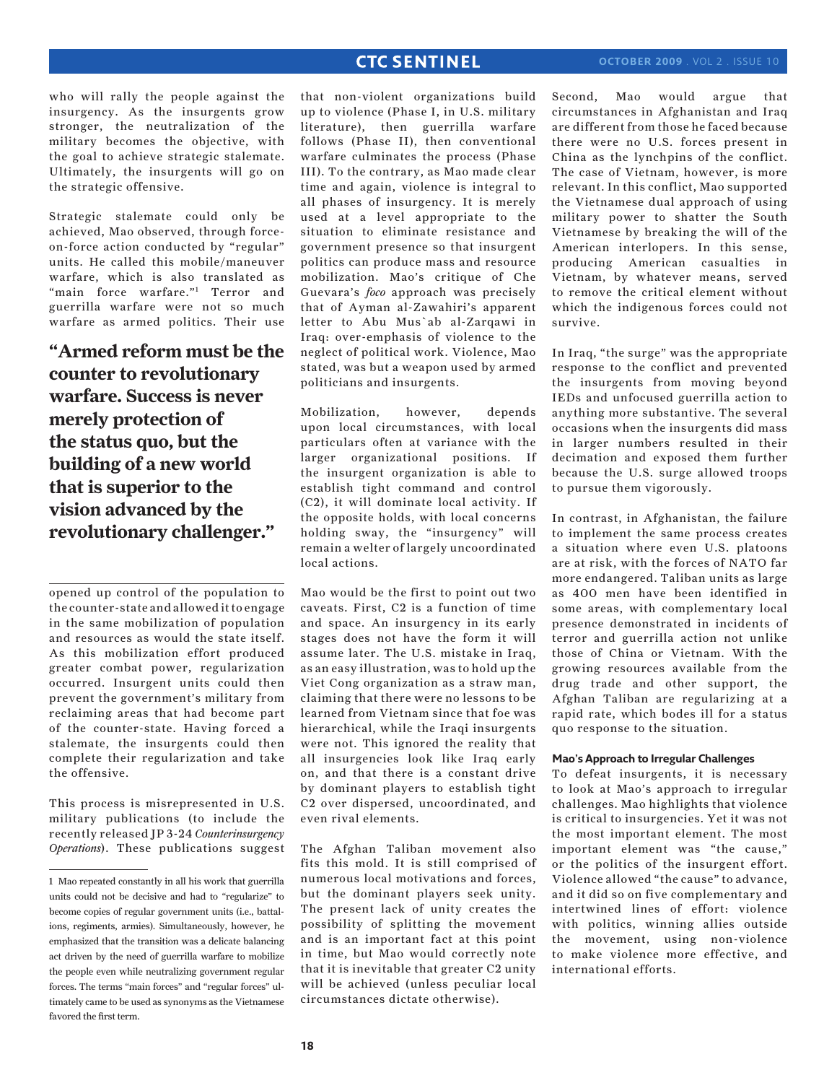who will rally the people against the insurgency. As the insurgents grow stronger, the neutralization of the military becomes the objective, with the goal to achieve strategic stalemate. Ultimately, the insurgents will go on the strategic offensive.

Strategic stalemate could only be achieved, Mao observed, through forceon-force action conducted by "regular" units. He called this mobile/maneuver warfare, which is also translated as "main force warfare."1 Terror and guerrilla warfare were not so much warfare as armed politics. Their use

**"Armed reform must be the counter to revolutionary warfare. Success is never merely protection of the status quo, but the building of a new world that is superior to the vision advanced by the revolutionary challenger."**

opened up control of the population to the counter-state and allowed it to engage in the same mobilization of population and resources as would the state itself. As this mobilization effort produced greater combat power, regularization occurred. Insurgent units could then prevent the government's military from reclaiming areas that had become part of the counter-state. Having forced a stalemate, the insurgents could then complete their regularization and take the offensive.

This process is misrepresented in U.S. military publications (to include the recently released JP 3-24 *Counterinsurgency Operations*). These publications suggest that non-violent organizations build up to violence (Phase I, in U.S. military literature), then guerrilla warfare follows (Phase II), then conventional warfare culminates the process (Phase III). To the contrary, as Mao made clear time and again, violence is integral to all phases of insurgency. It is merely used at a level appropriate to the situation to eliminate resistance and government presence so that insurgent politics can produce mass and resource mobilization. Mao's critique of Che Guevara's *foco* approach was precisely that of Ayman al-Zawahiri's apparent letter to Abu Mus`ab al-Zarqawi in Iraq: over-emphasis of violence to the neglect of political work. Violence, Mao stated, was but a weapon used by armed politicians and insurgents.

Mobilization, however, depends upon local circumstances, with local particulars often at variance with the larger organizational positions. If the insurgent organization is able to establish tight command and control (C2), it will dominate local activity. If the opposite holds, with local concerns holding sway, the "insurgency" will remain a welter of largely uncoordinated local actions.

Mao would be the first to point out two caveats. First, C2 is a function of time and space. An insurgency in its early stages does not have the form it will assume later. The U.S. mistake in Iraq, as an easy illustration, was to hold up the Viet Cong organization as a straw man, claiming that there were no lessons to be learned from Vietnam since that foe was hierarchical, while the Iraqi insurgents were not. This ignored the reality that all insurgencies look like Iraq early on, and that there is a constant drive by dominant players to establish tight C2 over dispersed, uncoordinated, and even rival elements.

The Afghan Taliban movement also fits this mold. It is still comprised of numerous local motivations and forces, but the dominant players seek unity. The present lack of unity creates the possibility of splitting the movement and is an important fact at this point in time, but Mao would correctly note that it is inevitable that greater C2 unity will be achieved (unless peculiar local circumstances dictate otherwise).

Second, Mao would argue that circumstances in Afghanistan and Iraq are different from those he faced because there were no U.S. forces present in China as the lynchpins of the conflict. The case of Vietnam, however, is more relevant. In this conflict, Mao supported the Vietnamese dual approach of using military power to shatter the South Vietnamese by breaking the will of the American interlopers. In this sense, producing American casualties in Vietnam, by whatever means, served to remove the critical element without which the indigenous forces could not survive.

In Iraq, "the surge" was the appropriate response to the conflict and prevented the insurgents from moving beyond IEDs and unfocused guerrilla action to anything more substantive. The several occasions when the insurgents did mass in larger numbers resulted in their decimation and exposed them further because the U.S. surge allowed troops to pursue them vigorously.

In contrast, in Afghanistan, the failure to implement the same process creates a situation where even U.S. platoons are at risk, with the forces of NATO far more endangered. Taliban units as large as 400 men have been identified in some areas, with complementary local presence demonstrated in incidents of terror and guerrilla action not unlike those of China or Vietnam. With the growing resources available from the drug trade and other support, the Afghan Taliban are regularizing at a rapid rate, which bodes ill for a status quo response to the situation.

### **Mao's Approach to Irregular Challenges**

To defeat insurgents, it is necessary to look at Mao's approach to irregular challenges. Mao highlights that violence is critical to insurgencies. Yet it was not the most important element. The most important element was "the cause," or the politics of the insurgent effort. Violence allowed "the cause" to advance, and it did so on five complementary and intertwined lines of effort: violence with politics, winning allies outside the movement, using non-violence to make violence more effective, and international efforts.

<sup>1</sup> Mao repeated constantly in all his work that guerrilla units could not be decisive and had to "regularize" to become copies of regular government units (i.e., battalions, regiments, armies). Simultaneously, however, he emphasized that the transition was a delicate balancing act driven by the need of guerrilla warfare to mobilize the people even while neutralizing government regular forces. The terms "main forces" and "regular forces" ultimately came to be used as synonyms as the Vietnamese favored the first term.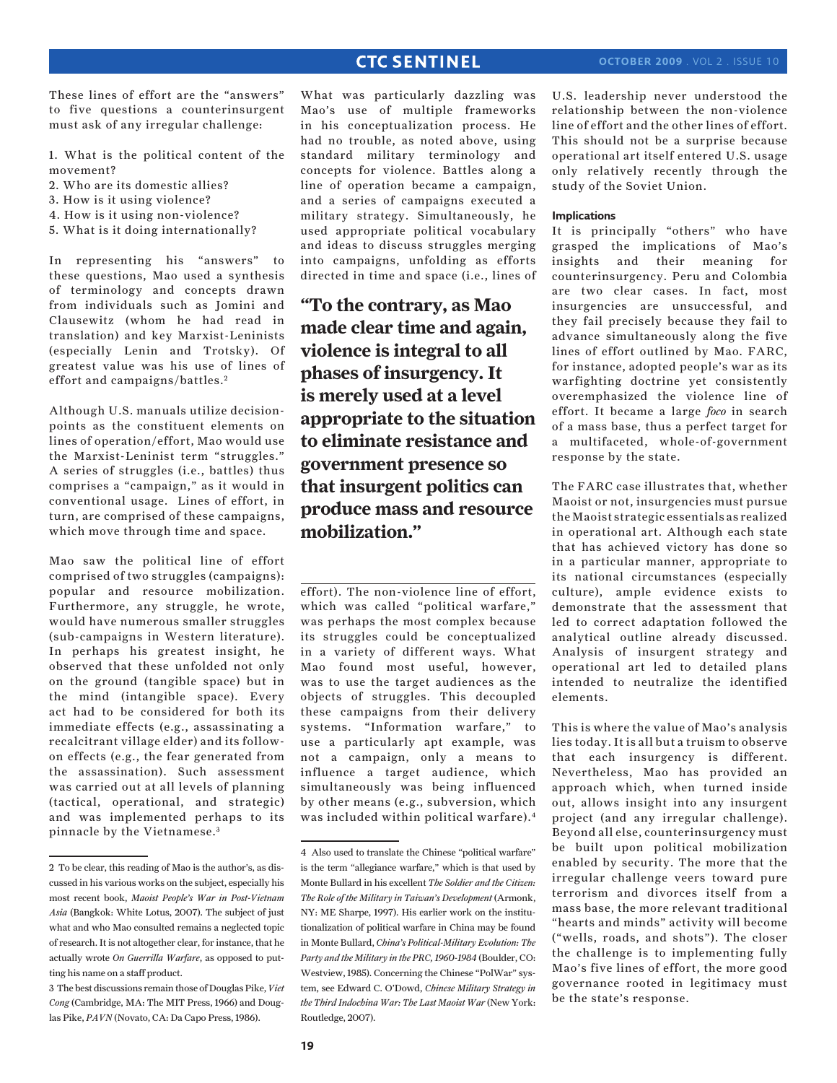These lines of effort are the "answers" to five questions a counterinsurgent must ask of any irregular challenge:

- 1. What is the political content of the movement?
- 2. Who are its domestic allies?
- 3. How is it using violence?
- 4. How is it using non-violence?
- 5. What is it doing internationally?

In representing his "answers" to these questions, Mao used a synthesis of terminology and concepts drawn from individuals such as Jomini and Clausewitz (whom he had read in translation) and key Marxist-Leninists (especially Lenin and Trotsky). Of greatest value was his use of lines of effort and campaigns/battles. <sup>2</sup>

Although U.S. manuals utilize decisionpoints as the constituent elements on lines of operation/effort, Mao would use the Marxist-Leninist term "struggles." A series of struggles (i.e., battles) thus comprises a "campaign," as it would in conventional usage. Lines of effort, in turn, are comprised of these campaigns, which move through time and space.

Mao saw the political line of effort comprised of two struggles (campaigns): popular and resource mobilization. Furthermore, any struggle, he wrote, would have numerous smaller struggles (sub-campaigns in Western literature). In perhaps his greatest insight, he observed that these unfolded not only on the ground (tangible space) but in the mind (intangible space). Every act had to be considered for both its immediate effects (e.g., assassinating a recalcitrant village elder) and its followon effects (e.g., the fear generated from the assassination). Such assessment was carried out at all levels of planning (tactical, operational, and strategic) and was implemented perhaps to its pinnacle by the Vietnamese.<sup>3</sup>

What was particularly dazzling was Mao's use of multiple frameworks in his conceptualization process. He had no trouble, as noted above, using standard military terminology and concepts for violence. Battles along a line of operation became a campaign, and a series of campaigns executed a military strategy. Simultaneously, he used appropriate political vocabulary and ideas to discuss struggles merging into campaigns, unfolding as efforts directed in time and space (i.e., lines of

**"To the contrary, as Mao made clear time and again, violence is integral to all phases of insurgency. It is merely used at a level appropriate to the situation to eliminate resistance and government presence so that insurgent politics can produce mass and resource mobilization."**

effort). The non-violence line of effort, which was called "political warfare," was perhaps the most complex because its struggles could be conceptualized in a variety of different ways. What Mao found most useful, however, was to use the target audiences as the objects of struggles. This decoupled these campaigns from their delivery systems. "Information warfare," to use a particularly apt example, was not a campaign, only a means to influence a target audience, which simultaneously was being influenced by other means (e.g., subversion, which was included within political warfare).4

U.S. leadership never understood the relationship between the non-violence line of effort and the other lines of effort. This should not be a surprise because operational art itself entered U.S. usage only relatively recently through the study of the Soviet Union.

### **Implications**

It is principally "others" who have grasped the implications of Mao's insights and their meaning for counterinsurgency. Peru and Colombia are two clear cases. In fact, most insurgencies are unsuccessful, and they fail precisely because they fail to advance simultaneously along the five lines of effort outlined by Mao. FARC, for instance, adopted people's war as its warfighting doctrine yet consistently overemphasized the violence line of effort. It became a large *foco* in search of a mass base, thus a perfect target for a multifaceted, whole-of-government response by the state.

The FARC case illustrates that, whether Maoist or not, insurgencies must pursue the Maoist strategic essentials as realized in operational art. Although each state that has achieved victory has done so in a particular manner, appropriate to its national circumstances (especially culture), ample evidence exists to demonstrate that the assessment that led to correct adaptation followed the analytical outline already discussed. Analysis of insurgent strategy and operational art led to detailed plans intended to neutralize the identified elements.

This is where the value of Mao's analysis lies today. It is all but a truism to observe that each insurgency is different. Nevertheless, Mao has provided an approach which, when turned inside out, allows insight into any insurgent project (and any irregular challenge). Beyond all else, counterinsurgency must be built upon political mobilization enabled by security. The more that the irregular challenge veers toward pure terrorism and divorces itself from a mass base, the more relevant traditional "hearts and minds" activity will become ("wells, roads, and shots"). The closer the challenge is to implementing fully Mao's five lines of effort, the more good governance rooted in legitimacy must be the state's response.

<sup>2</sup> To be clear, this reading of Mao is the author's, as discussed in his various works on the subject, especially his most recent book, *Maoist People's War in Post-Vietnam Asia* (Bangkok: White Lotus, 2007). The subject of just what and who Mao consulted remains a neglected topic of research. It is not altogether clear, for instance, that he actually wrote *On Guerrilla Warfare*, as opposed to putting his name on a staff product.

<sup>3</sup> The best discussions remain those of Douglas Pike, *Viet Cong* (Cambridge, MA: The MIT Press, 1966) and Douglas Pike, *PAVN* (Novato, CA: Da Capo Press, 1986).

<sup>4</sup> Also used to translate the Chinese "political warfare" is the term "allegiance warfare," which is that used by Monte Bullard in his excellent *The Soldier and the Citizen: The Role of the Military in Taiwan's Development* (Armonk, NY: ME Sharpe, 1997). His earlier work on the institutionalization of political warfare in China may be found in Monte Bullard, *China's Political-Military Evolution: The Party and the Military in the PRC, 1960-1984* (Boulder, CO: Westview, 1985). Concerning the Chinese "PolWar" system, see Edward C. O'Dowd, *Chinese Military Strategy in the Third Indochina War: The Last Maoist War* (New York: Routledge, 2007).